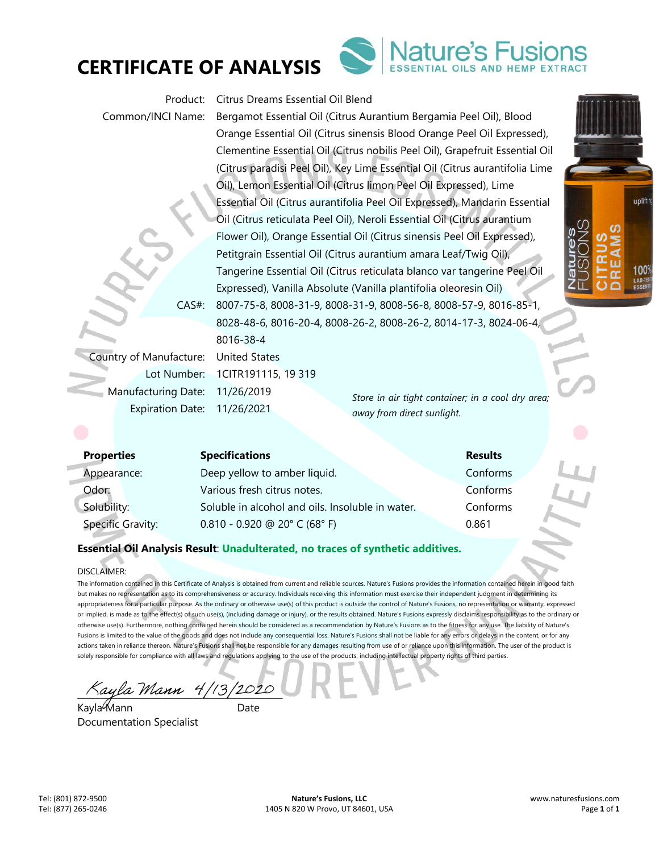



Product: Citrus Dreams Essential Oil Blend

Common/INCI Name: Bergamot Essential Oil (Citrus Aurantium Bergamia Peel Oil), Blood Orange Essential Oil (Citrus sinensis Blood Orange Peel Oil Expressed), Clementine Essential Oil (Citrus nobilis Peel Oil), Grapefruit Essential Oil (Citrus paradisi Peel Oil), Key Lime Essential Oil (Citrus aurantifolia Lime Oil), Lemon Essential Oil (Citrus limon Peel Oil Expressed), Lime Essential Oil (Citrus aurantifolia Peel Oil Expressed), Mandarin Essential Oil (Citrus reticulata Peel Oil), Neroli Essential Oil (Citrus aurantium Flower Oil), Orange Essential Oil (Citrus sinensis Peel Oil Expressed), Petitgrain Essential Oil (Citrus aurantium amara Leaf/Twig Oil), Tangerine Essential Oil (Citrus reticulata blanco var tangerine Peel Oil Expressed), Vanilla Absolute (Vanilla plantifolia oleoresin Oil) CAS#: 8007-75-8, 8008-31-9, 8008-31-9, 8008-56-8, 8008-57-9, 8016-85-1, 8028-48-6, 8016-20-4, 8008-26-2, 8008-26-2, 8014-17-3, 8024-06-4, 8016-38-4

Country of Manufacture: United States Lot Number: 1CITR191115, 19 319 Manufacturing Date: 11/26/2019 Expiration Date: 11/26/2021

*Store in air tight container; in a cool dry area; away from direct sunlight.* 

| <b>Properties</b>        | <b>Specifications</b>                            | <b>Results</b> |
|--------------------------|--------------------------------------------------|----------------|
| Appearance:              | Deep yellow to amber liquid.                     | Conforms       |
| Odor:                    | Various fresh citrus notes.                      | Conforms       |
| Solubility:              | Soluble in alcohol and oils. Insoluble in water. | Conforms       |
| <b>Specific Gravity:</b> | $0.810 - 0.920$ @ 20° C (68° F)                  | 0.861          |

# **Essential Oil Analysis Result**: **Unadulterated, no traces of synthetic additives.**

### DISCLAIMER:

The information contained in this Certificate of Analysis is obtained from current and reliable sources. Nature's Fusions provides the information contained herein in good faith but makes no representation as to its comprehensiveness or accuracy. Individuals receiving this information must exercise their independent judgment in determining its appropriateness for a particular purpose. As the ordinary or otherwise use(s) of this product is outside the control of Nature's Fusions, no representation or warranty, expressed or implied, is made as to the effect(s) of such use(s), (including damage or injury), or the results obtained. Nature's Fusions expressly disclaims responsibility as to the ordinary or otherwise use(s). Furthermore, nothing contained herein should be considered as a recommendation by Nature's Fusions as to the fitness for any use. The liability of Nature's Fusions is limited to the value of the goods and does not include any consequential loss. Nature's Fusions shall not be liable for any errors or delays in the content, or for any actions taken in reliance thereon. Nature's Fusions shall not be responsible for any damages resulting from use of or reliance upon this information. The user of the product is solely responsible for compliance with all laws and regulations applying to the use of the products, including intellectual property rights of third parties.

 $\chi_{a}$ ula Mann 4/13/2020

Kayla Mann Date Documentation Specialist

uplifti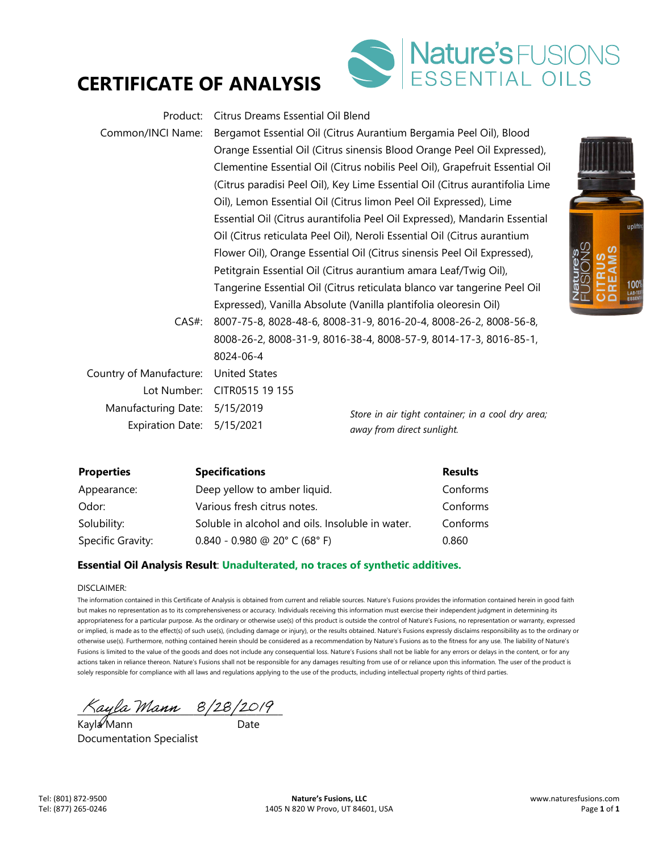# **CERTIFICATE OF ANALYSIS**



| Product:                | Citrus Dreams Essential Oil Blend                                       |                                                                                      |  |
|-------------------------|-------------------------------------------------------------------------|--------------------------------------------------------------------------------------|--|
| Common/INCI Name:       |                                                                         | Bergamot Essential Oil (Citrus Aurantium Bergamia Peel Oil), Blood                   |  |
|                         |                                                                         | Orange Essential Oil (Citrus sinensis Blood Orange Peel Oil Expressed),              |  |
|                         |                                                                         | Clementine Essential Oil (Citrus nobilis Peel Oil), Grapefruit Essential Oil         |  |
|                         |                                                                         | (Citrus paradisi Peel Oil), Key Lime Essential Oil (Citrus aurantifolia Lime         |  |
|                         |                                                                         | Oil), Lemon Essential Oil (Citrus limon Peel Oil Expressed), Lime                    |  |
|                         |                                                                         | Essential Oil (Citrus aurantifolia Peel Oil Expressed), Mandarin Essential           |  |
|                         |                                                                         | Oil (Citrus reticulata Peel Oil), Neroli Essential Oil (Citrus aurantium             |  |
|                         | Flower Oil), Orange Essential Oil (Citrus sinensis Peel Oil Expressed), |                                                                                      |  |
|                         | Petitgrain Essential Oil (Citrus aurantium amara Leaf/Twig Oil),        |                                                                                      |  |
|                         |                                                                         | Nature's<br>Tangerine Essential Oil (Citrus reticulata blanco var tangerine Peel Oil |  |
|                         |                                                                         | Expressed), Vanilla Absolute (Vanilla plantifolia oleoresin Oil)                     |  |
| $CAS#$ :                |                                                                         | 8007-75-8, 8028-48-6, 8008-31-9, 8016-20-4, 8008-26-2, 8008-56-8,                    |  |
|                         | 8008-26-2, 8008-31-9, 8016-38-4, 8008-57-9, 8014-17-3, 8016-85-1,       |                                                                                      |  |
|                         | 8024-06-4                                                               |                                                                                      |  |
| Country of Manufacture: | <b>United States</b>                                                    |                                                                                      |  |
| Lot Number:             | CITR0515 19 155                                                         |                                                                                      |  |
| Manufacturing Date:     | 5/15/2019                                                               | Store in air tight container; in a cool dry area;                                    |  |
| <b>Expiration Date:</b> | 5/15/2021                                                               | away from direct sunlight.                                                           |  |

| <b>Properties</b> | <b>Specifications</b>                            | <b>Results</b> |
|-------------------|--------------------------------------------------|----------------|
| Appearance:       | Deep yellow to amber liquid.                     | Conforms       |
| Odor:             | Various fresh citrus notes.                      | Conforms       |
| Solubility:       | Soluble in alcohol and oils. Insoluble in water. | Conforms       |
| Specific Gravity: | $0.840 - 0.980$ @ 20° C (68° F)                  | 0.860          |

## **Essential Oil Analysis Result**: **Unadulterated, no traces of synthetic additives.**

### DISCLAIMER:

The information contained in this Certificate of Analysis is obtained from current and reliable sources. Nature's Fusions provides the information contained herein in good faith but makes no representation as to its comprehensiveness or accuracy. Individuals receiving this information must exercise their independent judgment in determining its appropriateness for a particular purpose. As the ordinary or otherwise use(s) of this product is outside the control of Nature's Fusions, no representation or warranty, expressed or implied, is made as to the effect(s) of such use(s), (including damage or injury), or the results obtained. Nature's Fusions expressly disclaims responsibility as to the ordinary or otherwise use(s). Furthermore, nothing contained herein should be considered as a recommendation by Nature's Fusions as to the fitness for any use. The liability of Nature's Fusions is limited to the value of the goods and does not include any consequential loss. Nature's Fusions shall not be liable for any errors or delays in the content, or for any actions taken in reliance thereon. Nature's Fusions shall not be responsible for any damages resulting from use of or reliance upon this information. The user of the product is solely responsible for compliance with all laws and regulations applying to the use of the products, including intellectual property rights of third parties.

 $\land$ ayla Mann  $8/28/2019$ 

Kayla Mann ann an Date Documentation Specialist

uplift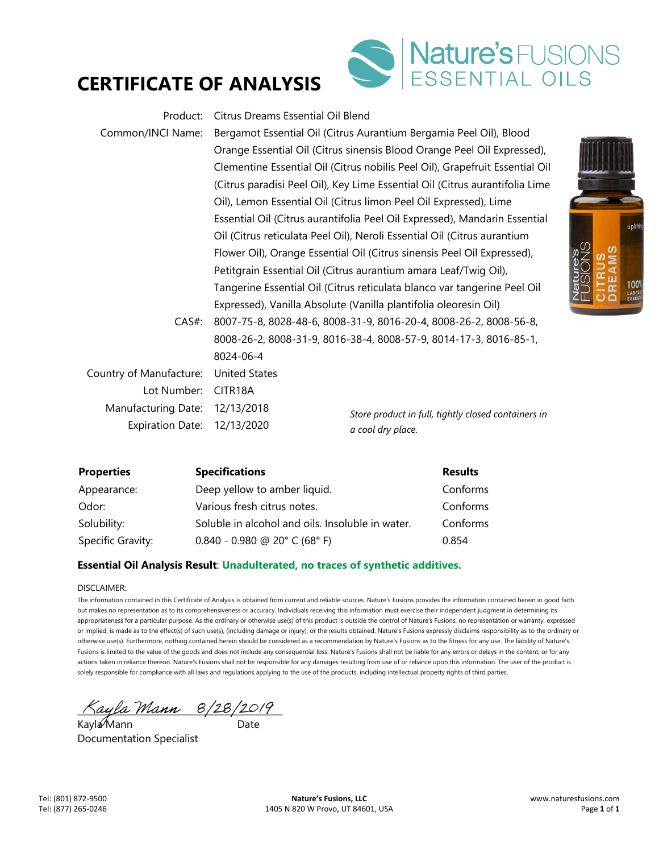# **CERTIFICATE OF ANALYSIS**



| Product:                | Citrus Dreams Essential Oil Blend                                       |                                                                                     |  |
|-------------------------|-------------------------------------------------------------------------|-------------------------------------------------------------------------------------|--|
| Common/INCI Name:       |                                                                         | Bergamot Essential Oil (Citrus Aurantium Bergamia Peel Oil), Blood                  |  |
|                         | Orange Essential Oil (Citrus sinensis Blood Orange Peel Oil Expressed), |                                                                                     |  |
|                         |                                                                         | Clementine Essential Oil (Citrus nobilis Peel Oil), Grapefruit Essential Oil        |  |
|                         |                                                                         | (Citrus paradisi Peel Oil), Key Lime Essential Oil (Citrus aurantifolia Lime        |  |
|                         |                                                                         | Oil), Lemon Essential Oil (Citrus limon Peel Oil Expressed), Lime                   |  |
|                         |                                                                         | Essential Oil (Citrus aurantifolia Peel Oil Expressed), Mandarin Essential          |  |
|                         |                                                                         | Oil (Citrus reticulata Peel Oil), Neroli Essential Oil (Citrus aurantium            |  |
|                         |                                                                         | 9∑<br>0∑<br>Flower Oil), Orange Essential Oil (Citrus sinensis Peel Oil Expressed), |  |
|                         | Petitgrain Essential Oil (Citrus aurantium amara Leaf/Twig Oil),        |                                                                                     |  |
|                         |                                                                         | Tangerine Essential Oil (Citrus reticulata blanco var tangerine Peel Oil            |  |
|                         |                                                                         | Expressed), Vanilla Absolute (Vanilla plantifolia oleoresin Oil)                    |  |
| $CAS#$ :                |                                                                         | 8007-75-8, 8028-48-6, 8008-31-9, 8016-20-4, 8008-26-2, 8008-56-8,                   |  |
|                         | 8008-26-2, 8008-31-9, 8016-38-4, 8008-57-9, 8014-17-3, 8016-85-1,       |                                                                                     |  |
|                         | 8024-06-4                                                               |                                                                                     |  |
| Country of Manufacture: | <b>United States</b>                                                    |                                                                                     |  |
| Lot Number:             | CITR18A                                                                 |                                                                                     |  |
| Manufacturing Date:     | 12/13/2018                                                              | Store product in full, tightly closed containers in                                 |  |
| <b>Expiration Date:</b> | 12/13/2020                                                              | a cool dry place.                                                                   |  |

| <b>Properties</b> | <b>Specifications</b>                            | <b>Results</b> |
|-------------------|--------------------------------------------------|----------------|
| Appearance:       | Deep yellow to amber liquid.                     | Conforms       |
| Odor:             | Various fresh citrus notes.                      | Conforms       |
| Solubility:       | Soluble in alcohol and oils. Insoluble in water. | Conforms       |
| Specific Gravity: | $0.840 - 0.980$ @ 20° C (68° F)                  | 0.854          |

## **Essential Oil Analysis Result**: **Unadulterated, no traces of synthetic additives.**

### DISCLAIMER:

The information contained in this Certificate of Analysis is obtained from current and reliable sources. Nature's Fusions provides the information contained herein in good faith but makes no representation as to its comprehensiveness or accuracy. Individuals receiving this information must exercise their independent judgment in determining its appropriateness for a particular purpose. As the ordinary or otherwise use(s) of this product is outside the control of Nature's Fusions, no representation or warranty, expressed or implied, is made as to the effect(s) of such use(s), (including damage or injury), or the results obtained. Nature's Fusions expressly disclaims responsibility as to the ordinary or otherwise use(s). Furthermore, nothing contained herein should be considered as a recommendation by Nature's Fusions as to the fitness for any use. The liability of Nature's Fusions is limited to the value of the goods and does not include any consequential loss. Nature's Fusions shall not be liable for any errors or delays in the content, or for any actions taken in reliance thereon. Nature's Fusions shall not be responsible for any damages resulting from use of or reliance upon this information. The user of the product is solely responsible for compliance with all laws and regulations applying to the use of the products, including intellectual property rights of third parties.

 $\pi_{\mathcal{A}}$  ayla Mann  $\mathcal{B}/2\mathcal{B}/2\mathcal{O}/\mathcal{C}$ 

Kayla Mann ann an Date Documentation Specialist